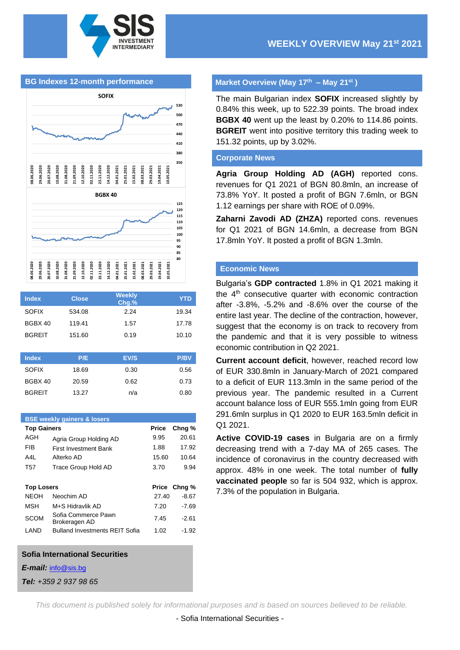





| <b>Index</b>  | <b>Close</b> | <b>Weekly</b><br>Chg.% | <b>YTD</b>  |
|---------------|--------------|------------------------|-------------|
| <b>SOFIX</b>  | 534.08       | 2.24                   | 19.34       |
| BGBX 40       | 119.41       | 1.57                   | 17.78       |
| <b>BGREIT</b> | 151.60       | 0.19                   | 10.10       |
|               |              |                        |             |
| <b>Index</b>  | P/E          | EV/S                   | <b>P/BV</b> |
| <b>SOFIX</b>  | 18.69        | 0.30                   | 0.56        |
| BGBX 40       | 20.59        | 0.62                   | 0.73        |

BGREIT 13.27 n/a 0.80

| <b>BSE weekly gainers &amp; losers</b> |                 |                                       |       |         |  |  |
|----------------------------------------|-----------------|---------------------------------------|-------|---------|--|--|
| <b>Top Gainers</b>                     |                 |                                       | Price | Chng %  |  |  |
|                                        | AGH             | Agria Group Holding AD                | 9.95  | 20.61   |  |  |
|                                        | <b>FIB</b>      | <b>First Investment Bank</b>          | 1.88  | 17.92   |  |  |
|                                        | A4L             | Alterko AD                            | 15.60 | 10.64   |  |  |
|                                        | T <sub>57</sub> | Trace Group Hold AD                   | 3.70  | 9.94    |  |  |
|                                        |                 |                                       |       |         |  |  |
| <b>Top Losers</b>                      |                 |                                       | Price | Chng %  |  |  |
|                                        | <b>NEOH</b>     | Neochim AD                            | 27.40 | $-8.67$ |  |  |
|                                        | <b>MSH</b>      | M+S Hidravlik AD                      | 7.20  | $-7.69$ |  |  |
|                                        | <b>SCOM</b>     | Sofia Commerce Pawn<br>Brokeragen AD  | 7.45  | $-2.61$ |  |  |
|                                        |                 | <b>Bulland Investments REIT Sofia</b> | 1.02  | $-1.92$ |  |  |
|                                        | LAND            |                                       |       |         |  |  |

#### **Sofia International Securities**

*E-mail:* [info@sis.bg](mailto:info@sis.bg)

*Tel: +359 2 937 98 65*

### **Market Overview (May 17 th – May 21st )**

The main Bulgarian index **SOFIX** increased slightly by 0.84% this week, up to 522.39 points. The broad index **BGBX 40** went up the least by 0.20% to 114.86 points. **BGREIT** went into positive territory this trading week to 151.32 points, up by 3.02%.

#### **Corporate News**

**Agria Group Holding AD (AGH)** reported cons. revenues for Q1 2021 of BGN 80.8mln, an increase of 73.8% YoY. It posted a profit of BGN 7.6mln, or BGN 1.12 earnings per share with ROE of 0.09%.

**Zaharni Zavodi AD (ZHZA)** reported cons. revenues for Q1 2021 of BGN 14.6mln, a decrease from BGN 17.8mln YoY. It posted a profit of BGN 1.3mln.

# **Economic News**

Bulgaria's **GDP contracted** 1.8% in Q1 2021 making it the 4<sup>th</sup> consecutive quarter with economic contraction after -3.8%, -5.2% and -8.6% over the course of the entire last year. The decline of the contraction, however, suggest that the economy is on track to recovery from the pandemic and that it is very possible to witness economic contribution in Q2 2021.

**Current account deficit**, however, reached record low of EUR 330.8mln in January-March of 2021 compared to a deficit of EUR 113.3mln in the same period of the previous year. The pandemic resulted in a Current account balance loss of EUR 555.1mln going from EUR 291.6mln surplus in Q1 2020 to EUR 163.5mln deficit in Q1 2021.

**Active COVID-19 cases** in Bulgaria are on a firmly decreasing trend with a 7-day MA of 265 cases. The incidence of coronavirus in the country decreased with approx. 48% in one week. The total number of **fully vaccinated people** so far is 504 932, which is approx. 7.3% of the population in Bulgaria.

*This document is published solely for informational purposes and is based on sources believed to be reliable.*